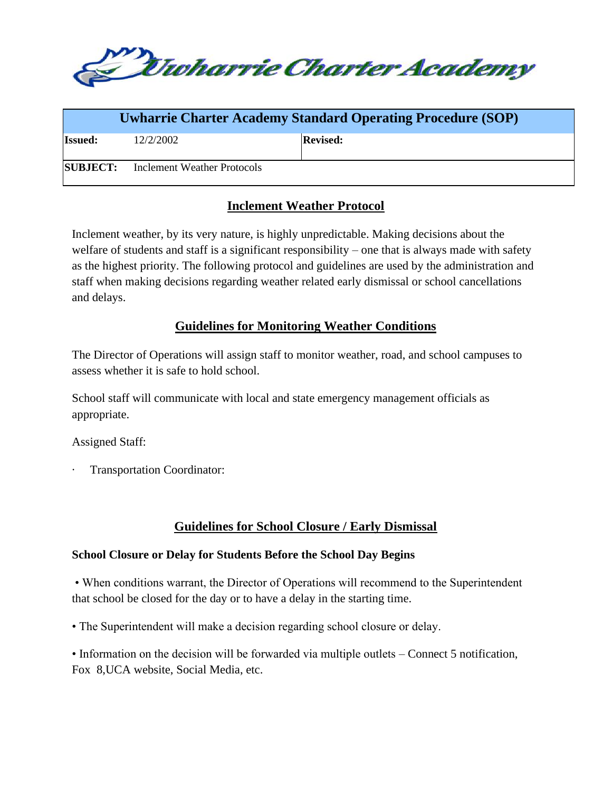

| <b>Uwharrie Charter Academy Standard Operating Procedure (SOP)</b> |                             |                 |
|--------------------------------------------------------------------|-----------------------------|-----------------|
| <b>Issued:</b>                                                     | 12/2/2002                   | <b>Revised:</b> |
| <b>SUBJECT:</b>                                                    | Inclement Weather Protocols |                 |

# **Inclement Weather Protocol**

Inclement weather, by its very nature, is highly unpredictable. Making decisions about the welfare of students and staff is a significant responsibility – one that is always made with safety as the highest priority. The following protocol and guidelines are used by the administration and staff when making decisions regarding weather related early dismissal or school cancellations and delays.

## **Guidelines for Monitoring Weather Conditions**

The Director of Operations will assign staff to monitor weather, road, and school campuses to assess whether it is safe to hold school.

School staff will communicate with local and state emergency management officials as appropriate.

Assigned Staff:

Transportation Coordinator:

# **Guidelines for School Closure / Early Dismissal**

## **School Closure or Delay for Students Before the School Day Begins**

• When conditions warrant, the Director of Operations will recommend to the Superintendent that school be closed for the day or to have a delay in the starting time.

• The Superintendent will make a decision regarding school closure or delay.

• Information on the decision will be forwarded via multiple outlets – Connect 5 notification, Fox 8,UCA website, Social Media, etc.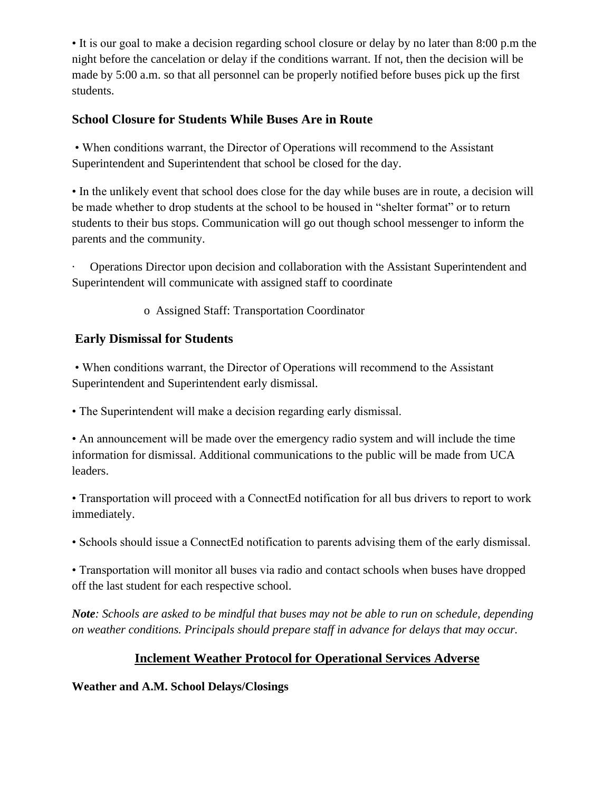• It is our goal to make a decision regarding school closure or delay by no later than 8:00 p.m the night before the cancelation or delay if the conditions warrant. If not, then the decision will be made by 5:00 a.m. so that all personnel can be properly notified before buses pick up the first students.

# **School Closure for Students While Buses Are in Route**

• When conditions warrant, the Director of Operations will recommend to the Assistant Superintendent and Superintendent that school be closed for the day.

• In the unlikely event that school does close for the day while buses are in route, a decision will be made whether to drop students at the school to be housed in "shelter format" or to return students to their bus stops. Communication will go out though school messenger to inform the parents and the community.

· Operations Director upon decision and collaboration with the Assistant Superintendent and Superintendent will communicate with assigned staff to coordinate

o Assigned Staff: Transportation Coordinator

# **Early Dismissal for Students**

• When conditions warrant, the Director of Operations will recommend to the Assistant Superintendent and Superintendent early dismissal.

• The Superintendent will make a decision regarding early dismissal.

• An announcement will be made over the emergency radio system and will include the time information for dismissal. Additional communications to the public will be made from UCA leaders.

• Transportation will proceed with a ConnectEd notification for all bus drivers to report to work immediately.

• Schools should issue a ConnectEd notification to parents advising them of the early dismissal.

• Transportation will monitor all buses via radio and contact schools when buses have dropped off the last student for each respective school.

*Note: Schools are asked to be mindful that buses may not be able to run on schedule, depending on weather conditions. Principals should prepare staff in advance for delays that may occur.*

# **Inclement Weather Protocol for Operational Services Adverse**

**Weather and A.M. School Delays/Closings**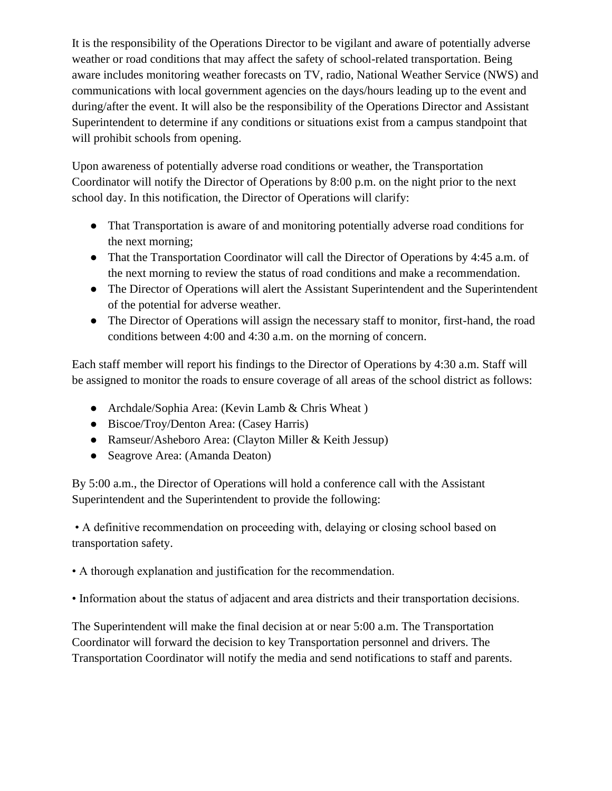It is the responsibility of the Operations Director to be vigilant and aware of potentially adverse weather or road conditions that may affect the safety of school-related transportation. Being aware includes monitoring weather forecasts on TV, radio, National Weather Service (NWS) and communications with local government agencies on the days/hours leading up to the event and during/after the event. It will also be the responsibility of the Operations Director and Assistant Superintendent to determine if any conditions or situations exist from a campus standpoint that will prohibit schools from opening.

Upon awareness of potentially adverse road conditions or weather, the Transportation Coordinator will notify the Director of Operations by 8:00 p.m. on the night prior to the next school day. In this notification, the Director of Operations will clarify:

- That Transportation is aware of and monitoring potentially adverse road conditions for the next morning;
- That the Transportation Coordinator will call the Director of Operations by 4:45 a.m. of the next morning to review the status of road conditions and make a recommendation.
- The Director of Operations will alert the Assistant Superintendent and the Superintendent of the potential for adverse weather.
- The Director of Operations will assign the necessary staff to monitor, first-hand, the road conditions between 4:00 and 4:30 a.m. on the morning of concern.

Each staff member will report his findings to the Director of Operations by 4:30 a.m. Staff will be assigned to monitor the roads to ensure coverage of all areas of the school district as follows:

- Archdale/Sophia Area: (Kevin Lamb & Chris Wheat)
- Biscoe/Troy/Denton Area: (Casey Harris)
- Ramseur/Asheboro Area: (Clayton Miller & Keith Jessup)
- Seagrove Area: (Amanda Deaton)

By 5:00 a.m., the Director of Operations will hold a conference call with the Assistant Superintendent and the Superintendent to provide the following:

• A definitive recommendation on proceeding with, delaying or closing school based on transportation safety.

• A thorough explanation and justification for the recommendation.

• Information about the status of adjacent and area districts and their transportation decisions.

The Superintendent will make the final decision at or near 5:00 a.m. The Transportation Coordinator will forward the decision to key Transportation personnel and drivers. The Transportation Coordinator will notify the media and send notifications to staff and parents.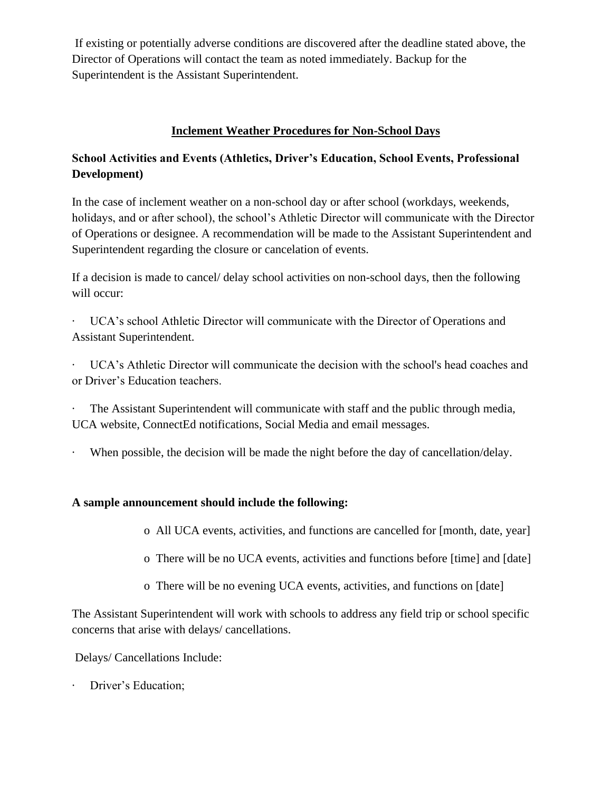If existing or potentially adverse conditions are discovered after the deadline stated above, the Director of Operations will contact the team as noted immediately. Backup for the Superintendent is the Assistant Superintendent.

## **Inclement Weather Procedures for Non-School Days**

# **School Activities and Events (Athletics, Driver's Education, School Events, Professional Development)**

In the case of inclement weather on a non-school day or after school (workdays, weekends, holidays, and or after school), the school's Athletic Director will communicate with the Director of Operations or designee. A recommendation will be made to the Assistant Superintendent and Superintendent regarding the closure or cancelation of events.

If a decision is made to cancel/ delay school activities on non-school days, then the following will occur:

UCA's school Athletic Director will communicate with the Director of Operations and Assistant Superintendent.

· UCA's Athletic Director will communicate the decision with the school's head coaches and or Driver's Education teachers.

· The Assistant Superintendent will communicate with staff and the public through media, UCA website, ConnectEd notifications, Social Media and email messages.

When possible, the decision will be made the night before the day of cancellation/delay.

## **A sample announcement should include the following:**

o All UCA events, activities, and functions are cancelled for [month, date, year]

- o There will be no UCA events, activities and functions before [time] and [date]
- o There will be no evening UCA events, activities, and functions on [date]

The Assistant Superintendent will work with schools to address any field trip or school specific concerns that arise with delays/ cancellations.

Delays/ Cancellations Include:

Driver's Education;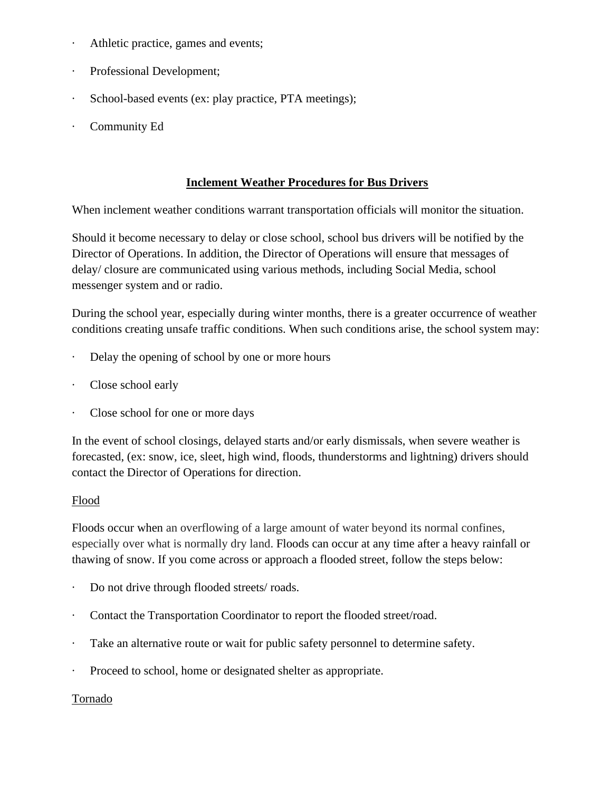- Athletic practice, games and events;
- Professional Development;
- School-based events (ex: play practice, PTA meetings);
- Community Ed

#### **Inclement Weather Procedures for Bus Drivers**

When inclement weather conditions warrant transportation officials will monitor the situation.

Should it become necessary to delay or close school, school bus drivers will be notified by the Director of Operations. In addition, the Director of Operations will ensure that messages of delay/ closure are communicated using various methods, including Social Media, school messenger system and or radio.

During the school year, especially during winter months, there is a greater occurrence of weather conditions creating unsafe traffic conditions. When such conditions arise, the school system may:

- Delay the opening of school by one or more hours
- Close school early
- · Close school for one or more days

In the event of school closings, delayed starts and/or early dismissals, when severe weather is forecasted, (ex: snow, ice, sleet, high wind, floods, thunderstorms and lightning) drivers should contact the Director of Operations for direction.

## Flood

Floods occur when an overflowing of a large amount of water beyond its normal confines, especially over what is normally dry land. Floods can occur at any time after a heavy rainfall or thawing of snow. If you come across or approach a flooded street, follow the steps below:

- Do not drive through flooded streets/ roads.
- Contact the Transportation Coordinator to report the flooded street/road.
- · Take an alternative route or wait for public safety personnel to determine safety.
- Proceed to school, home or designated shelter as appropriate.

## Tornado